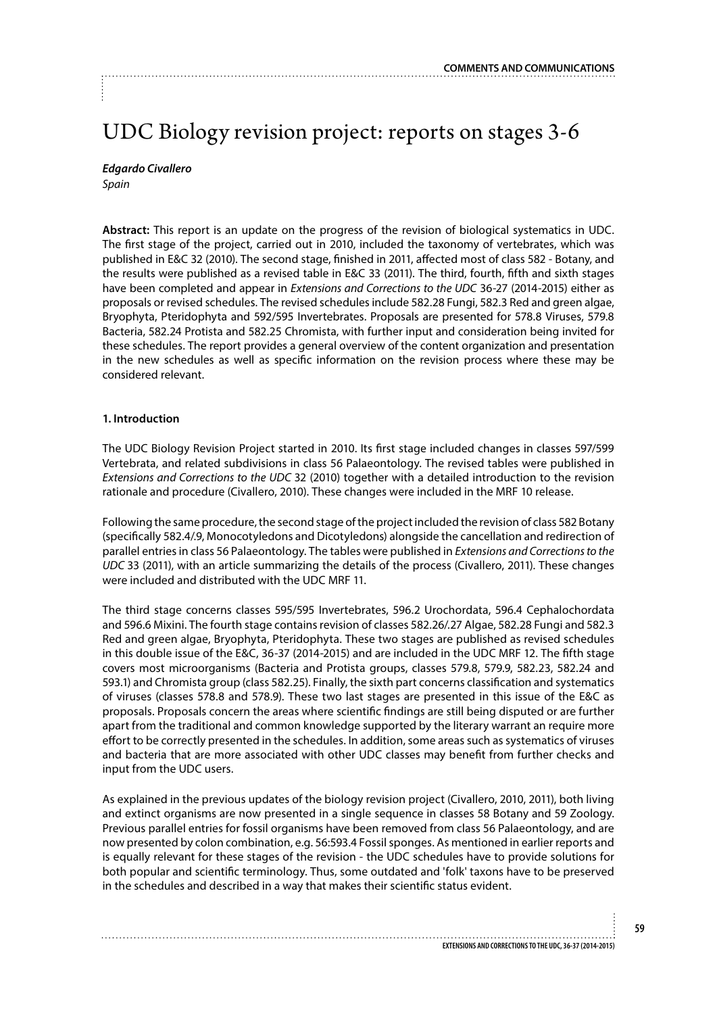# UDC Biology revision project: reports on stages 3-6

*Edgardo Civallero Spain*

**Abstract:** This report is an update on the progress of the revision of biological systematics in UDC. The first stage of the project, carried out in 2010, included the taxonomy of vertebrates, which was published in E&C 32 (2010). The second stage, finished in 2011, affected most of class 582 - Botany, and the results were published as a revised table in E&C 33 (2011). The third, fourth, fifth and sixth stages have been completed and appear in *Extensions and Corrections to the UDC* 36-27 (2014-2015) either as proposals or revised schedules. The revised schedules include 582.28 Fungi, 582.3 Red and green algae, Bryophyta, Pteridophyta and 592/595 Invertebrates. Proposals are presented for 578.8 Viruses, 579.8 Bacteria, 582.24 Protista and 582.25 Chromista, with further input and consideration being invited for these schedules. The report provides a general overview of the content organization and presentation in the new schedules as well as specific information on the revision process where these may be considered relevant.

## **1. Introduction**

The UDC Biology Revision Project started in 2010. Its first stage included changes in classes 597/599 Vertebrata, and related subdivisions in class 56 Palaeontology. The revised tables were published in *Extensions and Corrections to the UDC* 32 (2010) together with a detailed introduction to the revision rationale and procedure (Civallero, 2010). These changes were included in the MRF 10 release.

Following the same procedure, the second stage of the project included the revision of class 582 Botany (specifically 582.4/.9, Monocotyledons and Dicotyledons) alongside the cancellation and redirection of parallel entries in class 56 Palaeontology. The tables were published in *Extensions and Corrections to the UDC* 33 (2011), with an article summarizing the details of the process (Civallero, 2011). These changes were included and distributed with the UDC MRF 11.

The third stage concerns classes 595/595 Invertebrates, 596.2 Urochordata, 596.4 Cephalochordata and 596.6 Mixini. The fourth stage contains revision of classes 582.26/.27 Algae, 582.28 Fungi and 582.3 Red and green algae, Bryophyta, Pteridophyta. These two stages are published as revised schedules in this double issue of the E&C, 36-37 (2014-2015) and are included in the UDC MRF 12. The fifth stage covers most microorganisms (Bacteria and Protista groups, classes 579.8, 579.9, 582.23, 582.24 and 593.1) and Chromista group (class 582.25). Finally, the sixth part concerns classification and systematics of viruses (classes 578.8 and 578.9). These two last stages are presented in this issue of the E&C as proposals. Proposals concern the areas where scientific findings are still being disputed or are further apart from the traditional and common knowledge supported by the literary warrant an require more effort to be correctly presented in the schedules. In addition, some areas such as systematics of viruses and bacteria that are more associated with other UDC classes may benefit from further checks and input from the UDC users.

As explained in the previous updates of the biology revision project (Civallero, 2010, 2011), both living and extinct organisms are now presented in a single sequence in classes 58 Botany and 59 Zoology. Previous parallel entries for fossil organisms have been removed from class 56 Palaeontology, and are now presented by colon combination, e.g. 56:593.4 Fossil sponges. As mentioned in earlier reports and is equally relevant for these stages of the revision - the UDC schedules have to provide solutions for both popular and scientific terminology. Thus, some outdated and 'folk' taxons have to be preserved in the schedules and described in a way that makes their scientific status evident.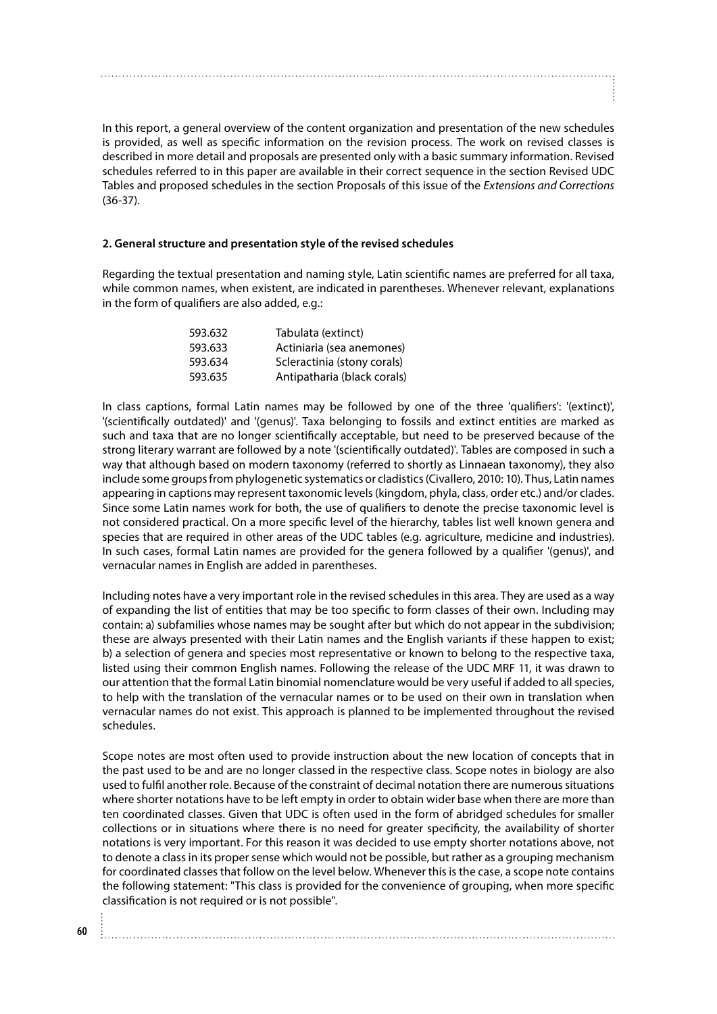In this report, a general overview of the content organization and presentation of the new schedules is provided, as well as specific information on the revision process. The work on revised classes is described in more detail and proposals are presented only with a basic summary information. Revised schedules referred to in this paper are available in their correct sequence in the section Revised UDC Tables and proposed schedules in the section Proposals of this issue of the *Extensions and Corrections* (36-37).

## **2. General structure and presentation style of the revised schedules**

Regarding the textual presentation and naming style, Latin scientific names are preferred for all taxa, while common names, when existent, are indicated in parentheses. Whenever relevant, explanations in the form of qualifiers are also added, e.g.:

| 593.632 | Tabulata (extinct)          |
|---------|-----------------------------|
| 593.633 | Actiniaria (sea anemones)   |
| 593.634 | Scleractinia (stony corals) |
| 593.635 | Antipatharia (black corals) |

In class captions, formal Latin names may be followed by one of the three 'qualifiers': '(extinct)', '(scientifically outdated)' and '(genus)'. Taxa belonging to fossils and extinct entities are marked as such and taxa that are no longer scientifically acceptable, but need to be preserved because of the strong literary warrant are followed by a note '(scientifically outdated)'. Tables are composed in such a way that although based on modern taxonomy (referred to shortly as Linnaean taxonomy), they also include some groups from phylogenetic systematics or cladistics (Civallero, 2010: 10). Thus, Latin names appearing in captions may represent taxonomic levels (kingdom, phyla, class, order etc.) and/or clades. Since some Latin names work for both, the use of qualifiers to denote the precise taxonomic level is not considered practical. On a more specific level of the hierarchy, tables list well known genera and species that are required in other areas of the UDC tables (e.g. agriculture, medicine and industries). In such cases, formal Latin names are provided for the genera followed by a qualifier '(genus)', and vernacular names in English are added in parentheses.

Including notes have a very important role in the revised schedules in this area. They are used as a way of expanding the list of entities that may be too specific to form classes of their own. Including may contain: a) subfamilies whose names may be sought after but which do not appear in the subdivision; these are always presented with their Latin names and the English variants if these happen to exist; b) a selection of genera and species most representative or known to belong to the respective taxa, listed using their common English names. Following the release of the UDC MRF 11, it was drawn to our attention that the formal Latin binomial nomenclature would be very useful if added to all species, to help with the translation of the vernacular names or to be used on their own in translation when vernacular names do not exist. This approach is planned to be implemented throughout the revised schedules.

Scope notes are most often used to provide instruction about the new location of concepts that in the past used to be and are no longer classed in the respective class. Scope notes in biology are also used to fulfil another role. Because of the constraint of decimal notation there are numerous situations where shorter notations have to be left empty in order to obtain wider base when there are more than ten coordinated classes. Given that UDC is often used in the form of abridged schedules for smaller collections or in situations where there is no need for greater specificity, the availability of shorter notations is very important. For this reason it was decided to use empty shorter notations above, not to denote a class in its proper sense which would not be possible, but rather as a grouping mechanism for coordinated classes that follow on the level below. Whenever this is the case, a scope note contains the following statement: "This class is provided for the convenience of grouping, when more specific classification is not required or is not possible".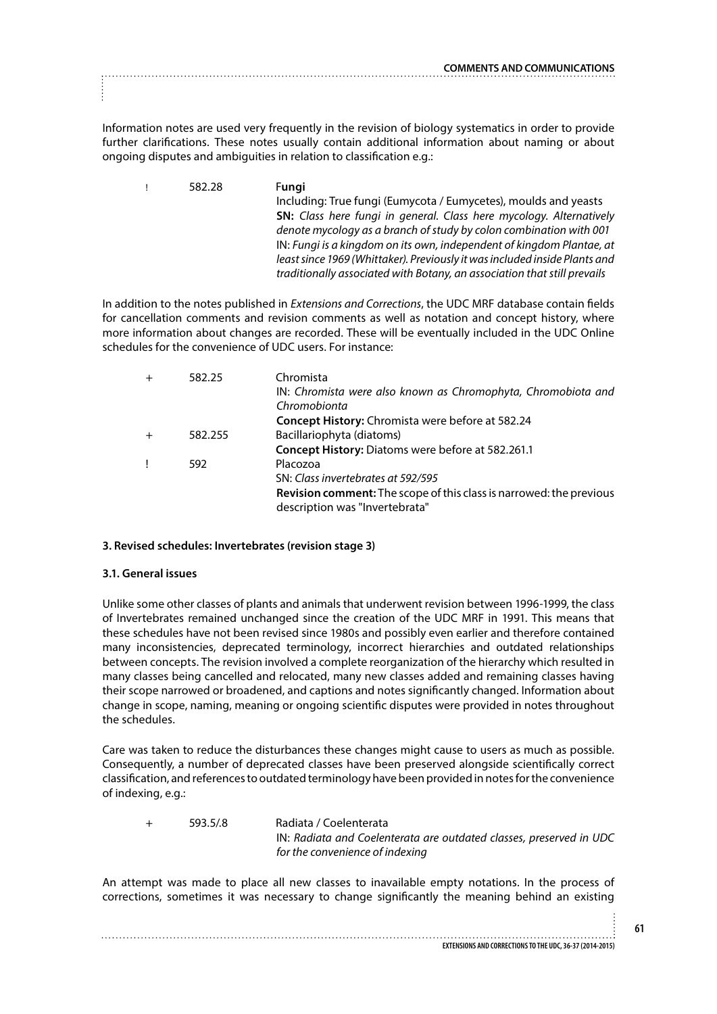Information notes are used very frequently in the revision of biology systematics in order to provide further clarifications. These notes usually contain additional information about naming or about ongoing disputes and ambiguities in relation to classification e.g.:

! 582.28 F**ungi** Including: True fungi (Eumycota / Eumycetes), moulds and yeasts **SN:** *Class here fungi in general. Class here mycology. Alternatively denote mycology as a branch of study by colon combination with 001* IN: *Fungi is a kingdom on its own, independent of kingdom Plantae, at least since 1969 (Whittaker). Previously it was included inside Plants and traditionally associated with Botany, an association that still prevails*

In addition to the notes published in *Extensions and Corrections*, the UDC MRF database contain fields for cancellation comments and revision comments as well as notation and concept history, where more information about changes are recorded. These will be eventually included in the UDC Online schedules for the convenience of UDC users. For instance:

| $\overline{+}$ | 582.25  | Chromista                                                           |
|----------------|---------|---------------------------------------------------------------------|
|                |         | IN: Chromista were also known as Chromophyta, Chromobiota and       |
|                |         | Chromobionta                                                        |
|                |         | Concept History: Chromista were before at 582.24                    |
| $\ddot{}$      | 582.255 | Bacillariophyta (diatoms)                                           |
|                |         | Concept History: Diatoms were before at 582.261.1                   |
|                | 592     | Placozoa                                                            |
|                |         | SN: Class invertebrates at 592/595                                  |
|                |         | Revision comment: The scope of this class is narrowed: the previous |
|                |         | description was "Invertebrata"                                      |

# **3. Revised schedules: Invertebrates (revision stage 3)**

# **3.1. General issues**

Unlike some other classes of plants and animals that underwent revision between 1996-1999, the class of Invertebrates remained unchanged since the creation of the UDC MRF in 1991. This means that these schedules have not been revised since 1980s and possibly even earlier and therefore contained many inconsistencies, deprecated terminology, incorrect hierarchies and outdated relationships between concepts. The revision involved a complete reorganization of the hierarchy which resulted in many classes being cancelled and relocated, many new classes added and remaining classes having their scope narrowed or broadened, and captions and notes significantly changed. Information about change in scope, naming, meaning or ongoing scientific disputes were provided in notes throughout the schedules.

Care was taken to reduce the disturbances these changes might cause to users as much as possible. Consequently, a number of deprecated classes have been preserved alongside scientifically correct classification, and references to outdated terminology have been provided in notes for the convenience of indexing, e.g.:

| $+$ | 593.5/8 | Radiata / Coelenterata                                              |
|-----|---------|---------------------------------------------------------------------|
|     |         | IN: Radiata and Coelenterata are outdated classes, preserved in UDC |
|     |         | for the convenience of indexing                                     |

An attempt was made to place all new classes to inavailable empty notations. In the process of corrections, sometimes it was necessary to change significantly the meaning behind an existing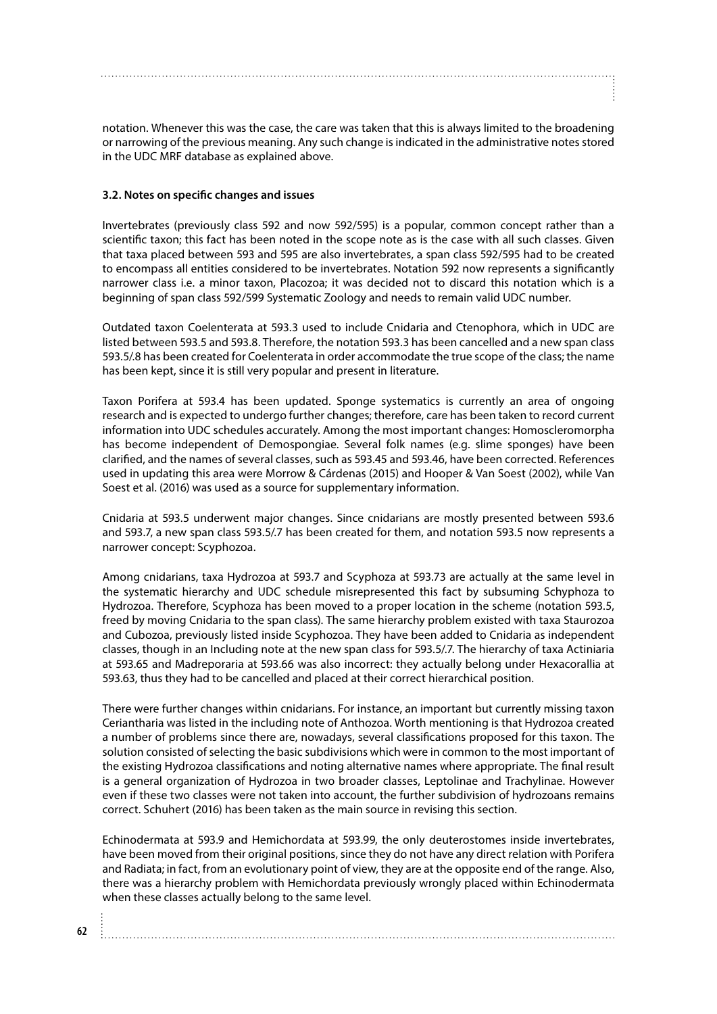notation. Whenever this was the case, the care was taken that this is always limited to the broadening or narrowing of the previous meaning. Any such change is indicated in the administrative notes stored in the UDC MRF database as explained above.

## **3.2. Notes on specific changes and issues**

Invertebrates (previously class 592 and now 592/595) is a popular, common concept rather than a scientific taxon; this fact has been noted in the scope note as is the case with all such classes. Given that taxa placed between 593 and 595 are also invertebrates, a span class 592/595 had to be created to encompass all entities considered to be invertebrates. Notation 592 now represents a significantly narrower class i.e. a minor taxon, Placozoa; it was decided not to discard this notation which is a beginning of span class 592/599 Systematic Zoology and needs to remain valid UDC number.

Outdated taxon Coelenterata at 593.3 used to include Cnidaria and Ctenophora, which in UDC are listed between 593.5 and 593.8. Therefore, the notation 593.3 has been cancelled and a new span class 593.5/.8 has been created for Coelenterata in order accommodate the true scope of the class; the name has been kept, since it is still very popular and present in literature.

Taxon Porifera at 593.4 has been updated. Sponge systematics is currently an area of ongoing research and is expected to undergo further changes; therefore, care has been taken to record current information into UDC schedules accurately. Among the most important changes: Homoscleromorpha has become independent of Demospongiae. Several folk names (e.g. slime sponges) have been clarified, and the names of several classes, such as 593.45 and 593.46, have been corrected. References used in updating this area were Morrow & Cárdenas (2015) and Hooper & Van Soest (2002), while Van Soest et al. (2016) was used as a source for supplementary information.

Cnidaria at 593.5 underwent major changes. Since cnidarians are mostly presented between 593.6 and 593.7, a new span class 593.5/.7 has been created for them, and notation 593.5 now represents a narrower concept: Scyphozoa.

Among cnidarians, taxa Hydrozoa at 593.7 and Scyphoza at 593.73 are actually at the same level in the systematic hierarchy and UDC schedule misrepresented this fact by subsuming Schyphoza to Hydrozoa. Therefore, Scyphoza has been moved to a proper location in the scheme (notation 593.5, freed by moving Cnidaria to the span class). The same hierarchy problem existed with taxa Staurozoa and Cubozoa, previously listed inside Scyphozoa. They have been added to Cnidaria as independent classes, though in an Including note at the new span class for 593.5/.7. The hierarchy of taxa Actiniaria at 593.65 and Madreporaria at 593.66 was also incorrect: they actually belong under Hexacorallia at 593.63, thus they had to be cancelled and placed at their correct hierarchical position.

There were further changes within cnidarians. For instance, an important but currently missing taxon Ceriantharia was listed in the including note of Anthozoa. Worth mentioning is that Hydrozoa created a number of problems since there are, nowadays, several classifications proposed for this taxon. The solution consisted of selecting the basic subdivisions which were in common to the most important of the existing Hydrozoa classifications and noting alternative names where appropriate. The final result is a general organization of Hydrozoa in two broader classes, Leptolinae and Trachylinae. However even if these two classes were not taken into account, the further subdivision of hydrozoans remains correct. Schuhert (2016) has been taken as the main source in revising this section.

Echinodermata at 593.9 and Hemichordata at 593.99, the only deuterostomes inside invertebrates, have been moved from their original positions, since they do not have any direct relation with Porifera and Radiata; in fact, from an evolutionary point of view, they are at the opposite end of the range. Also, there was a hierarchy problem with Hemichordata previously wrongly placed within Echinodermata when these classes actually belong to the same level.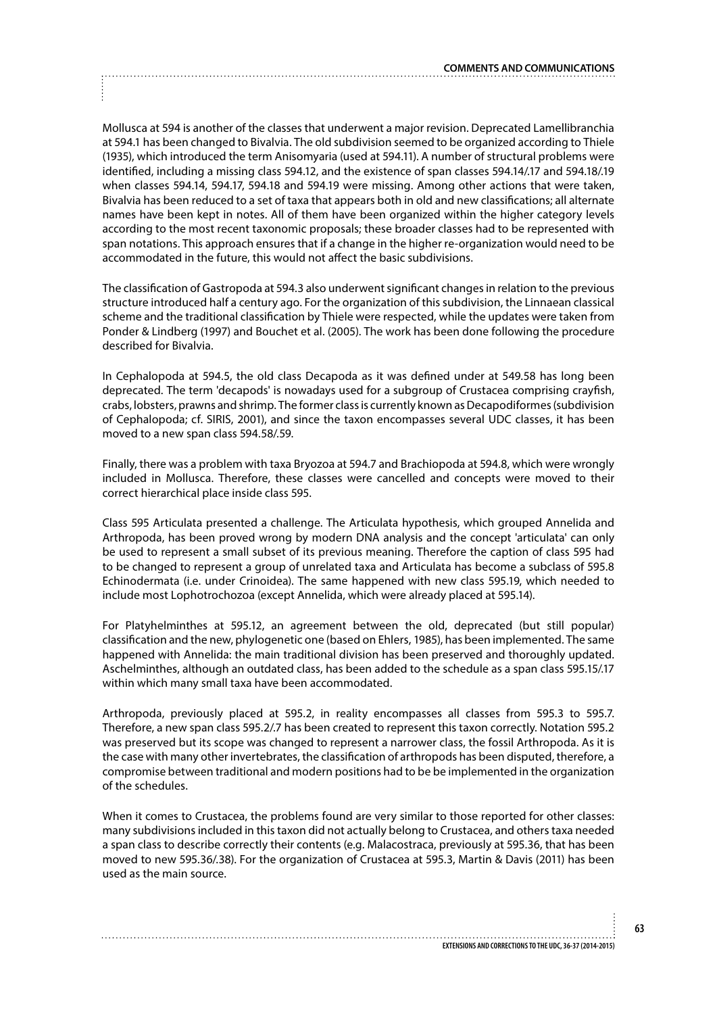Mollusca at 594 is another of the classes that underwent a major revision. Deprecated Lamellibranchia at 594.1 has been changed to Bivalvia. The old subdivision seemed to be organized according to Thiele (1935), which introduced the term Anisomyaria (used at 594.11). A number of structural problems were identified, including a missing class 594.12, and the existence of span classes 594.14/.17 and 594.18/.19 when classes 594.14, 594.17, 594.18 and 594.19 were missing. Among other actions that were taken, Bivalvia has been reduced to a set of taxa that appears both in old and new classifications; all alternate names have been kept in notes. All of them have been organized within the higher category levels according to the most recent taxonomic proposals; these broader classes had to be represented with span notations. This approach ensures that if a change in the higher re-organization would need to be accommodated in the future, this would not affect the basic subdivisions.

The classification of Gastropoda at 594.3 also underwent significant changes in relation to the previous structure introduced half a century ago. For the organization of this subdivision, the Linnaean classical scheme and the traditional classification by Thiele were respected, while the updates were taken from Ponder & Lindberg (1997) and Bouchet et al. (2005). The work has been done following the procedure described for Bivalvia.

In Cephalopoda at 594.5, the old class Decapoda as it was defined under at 549.58 has long been deprecated. The term 'decapods' is nowadays used for a subgroup of Crustacea comprising crayfish, crabs, lobsters, prawns and shrimp. The former class is currently known as Decapodiformes (subdivision of Cephalopoda; cf. SIRIS, 2001), and since the taxon encompasses several UDC classes, it has been moved to a new span class 594.58/.59.

Finally, there was a problem with taxa Bryozoa at 594.7 and Brachiopoda at 594.8, which were wrongly included in Mollusca. Therefore, these classes were cancelled and concepts were moved to their correct hierarchical place inside class 595.

Class 595 Articulata presented a challenge. The Articulata hypothesis, which grouped Annelida and Arthropoda, has been proved wrong by modern DNA analysis and the concept 'articulata' can only be used to represent a small subset of its previous meaning. Therefore the caption of class 595 had to be changed to represent a group of unrelated taxa and Articulata has become a subclass of 595.8 Echinodermata (i.e. under Crinoidea). The same happened with new class 595.19, which needed to include most Lophotrochozoa (except Annelida, which were already placed at 595.14).

For Platyhelminthes at 595.12, an agreement between the old, deprecated (but still popular) classification and the new, phylogenetic one (based on Ehlers, 1985), has been implemented. The same happened with Annelida: the main traditional division has been preserved and thoroughly updated. Aschelminthes, although an outdated class, has been added to the schedule as a span class 595.15/.17 within which many small taxa have been accommodated.

Arthropoda, previously placed at 595.2, in reality encompasses all classes from 595.3 to 595.7. Therefore, a new span class 595.2/.7 has been created to represent this taxon correctly. Notation 595.2 was preserved but its scope was changed to represent a narrower class, the fossil Arthropoda. As it is the case with many other invertebrates, the classification of arthropods has been disputed, therefore, a compromise between traditional and modern positions had to be be implemented in the organization of the schedules.

When it comes to Crustacea, the problems found are very similar to those reported for other classes: many subdivisions included in this taxon did not actually belong to Crustacea, and others taxa needed a span class to describe correctly their contents (e.g. Malacostraca, previously at 595.36, that has been moved to new 595.36/.38). For the organization of Crustacea at 595.3, Martin & Davis (2011) has been used as the main source.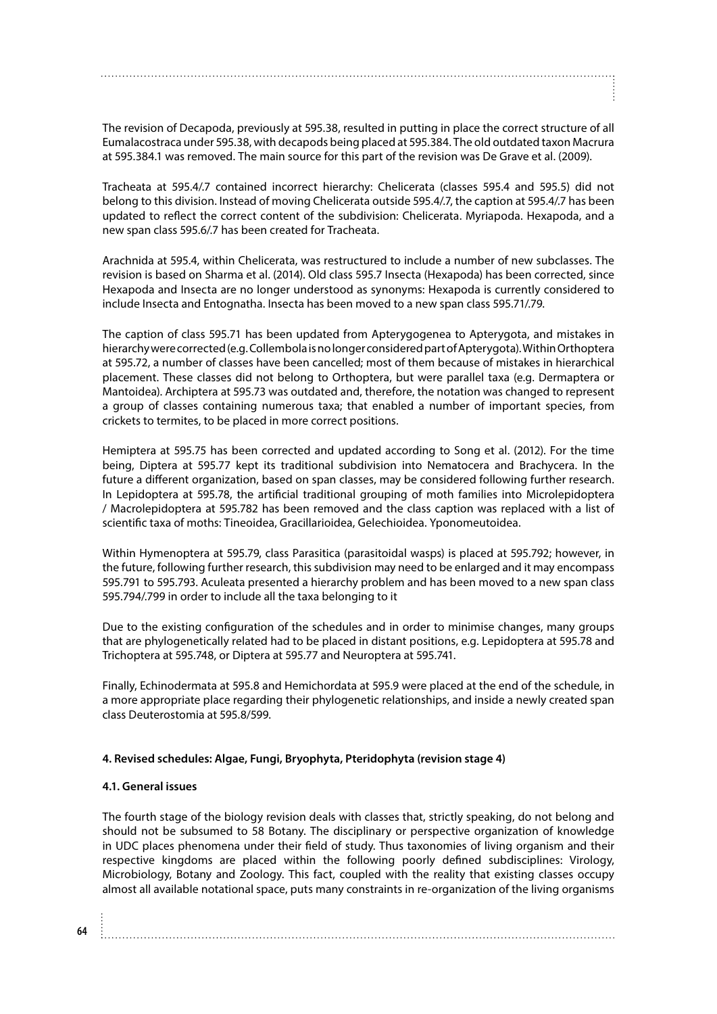The revision of Decapoda, previously at 595.38, resulted in putting in place the correct structure of all Eumalacostraca under 595.38, with decapods being placed at 595.384. The old outdated taxon Macrura at 595.384.1 was removed. The main source for this part of the revision was De Grave et al. (2009).

Tracheata at 595.4/.7 contained incorrect hierarchy: Chelicerata (classes 595.4 and 595.5) did not belong to this division. Instead of moving Chelicerata outside 595.4/.7, the caption at 595.4/.7 has been updated to reflect the correct content of the subdivision: Chelicerata. Myriapoda. Hexapoda, and a new span class 595.6/.7 has been created for Tracheata.

Arachnida at 595.4, within Chelicerata, was restructured to include a number of new subclasses. The revision is based on Sharma et al. (2014). Old class 595.7 Insecta (Hexapoda) has been corrected, since Hexapoda and Insecta are no longer understood as synonyms: Hexapoda is currently considered to include Insecta and Entognatha. Insecta has been moved to a new span class 595.71/.79.

The caption of class 595.71 has been updated from Apterygogenea to Apterygota, and mistakes in hierarchy were corrected (e.g. Collembola is no longer considered part of Apterygota). Within Orthoptera at 595.72, a number of classes have been cancelled; most of them because of mistakes in hierarchical placement. These classes did not belong to Orthoptera, but were parallel taxa (e.g. Dermaptera or Mantoidea). Archiptera at 595.73 was outdated and, therefore, the notation was changed to represent a group of classes containing numerous taxa; that enabled a number of important species, from crickets to termites, to be placed in more correct positions.

Hemiptera at 595.75 has been corrected and updated according to Song et al. (2012). For the time being, Diptera at 595.77 kept its traditional subdivision into Nematocera and Brachycera. In the future a different organization, based on span classes, may be considered following further research. In Lepidoptera at 595.78, the artificial traditional grouping of moth families into Microlepidoptera / Macrolepidoptera at 595.782 has been removed and the class caption was replaced with a list of scientific taxa of moths: Tineoidea, Gracillarioidea, Gelechioidea. Yponomeutoidea.

Within Hymenoptera at 595.79, class Parasitica (parasitoidal wasps) is placed at 595.792; however, in the future, following further research, this subdivision may need to be enlarged and it may encompass 595.791 to 595.793. Aculeata presented a hierarchy problem and has been moved to a new span class 595.794/.799 in order to include all the taxa belonging to it

Due to the existing configuration of the schedules and in order to minimise changes, many groups that are phylogenetically related had to be placed in distant positions, e.g. Lepidoptera at 595.78 and Trichoptera at 595.748, or Diptera at 595.77 and Neuroptera at 595.741.

Finally, Echinodermata at 595.8 and Hemichordata at 595.9 were placed at the end of the schedule, in a more appropriate place regarding their phylogenetic relationships, and inside a newly created span class Deuterostomia at 595.8/599.

# **4. Revised schedules: Algae, Fungi, Bryophyta, Pteridophyta (revision stage 4)**

### **4.1. General issues**

The fourth stage of the biology revision deals with classes that, strictly speaking, do not belong and should not be subsumed to 58 Botany. The disciplinary or perspective organization of knowledge in UDC places phenomena under their field of study. Thus taxonomies of living organism and their respective kingdoms are placed within the following poorly defined subdisciplines: Virology, Microbiology, Botany and Zoology. This fact, coupled with the reality that existing classes occupy almost all available notational space, puts many constraints in re-organization of the living organisms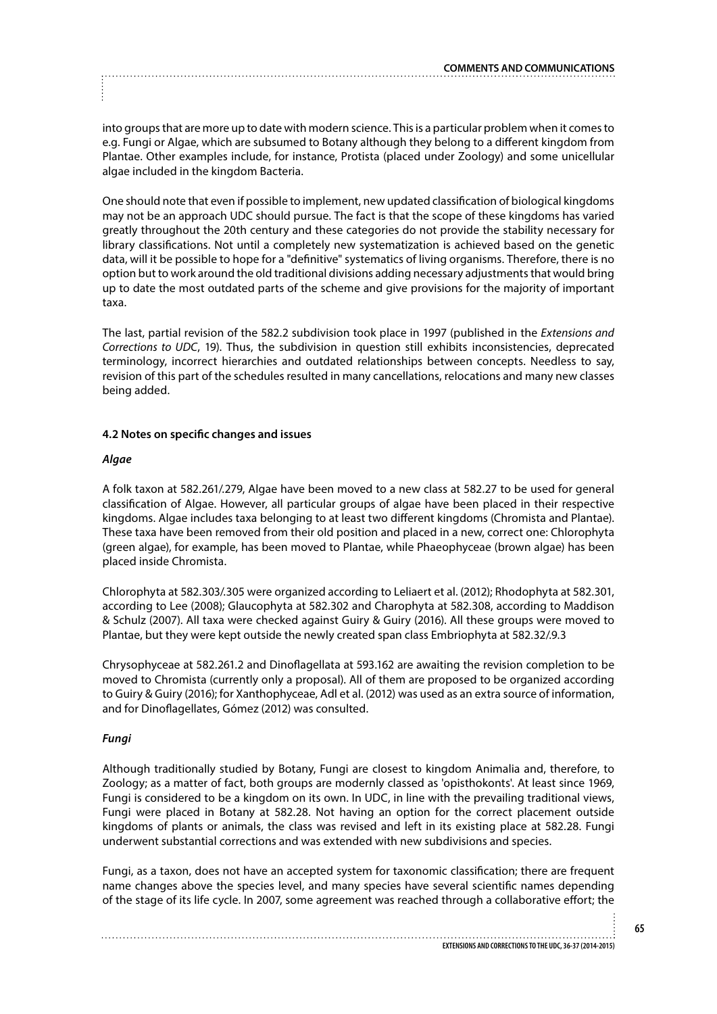into groups that are more up to date with modern science. This is a particular problem when it comes to e.g. Fungi or Algae, which are subsumed to Botany although they belong to a different kingdom from Plantae. Other examples include, for instance, Protista (placed under Zoology) and some unicellular algae included in the kingdom Bacteria.

One should note that even if possible to implement, new updated classification of biological kingdoms may not be an approach UDC should pursue. The fact is that the scope of these kingdoms has varied greatly throughout the 20th century and these categories do not provide the stability necessary for library classifications. Not until a completely new systematization is achieved based on the genetic data, will it be possible to hope for a "definitive" systematics of living organisms. Therefore, there is no option but to work around the old traditional divisions adding necessary adjustments that would bring up to date the most outdated parts of the scheme and give provisions for the majority of important taxa.

The last, partial revision of the 582.2 subdivision took place in 1997 (published in the *Extensions and Corrections to UDC*, 19). Thus, the subdivision in question still exhibits inconsistencies, deprecated terminology, incorrect hierarchies and outdated relationships between concepts. Needless to say, revision of this part of the schedules resulted in many cancellations, relocations and many new classes being added.

# **4.2 Notes on specific changes and issues**

# *Algae*

A folk taxon at 582.261/.279, Algae have been moved to a new class at 582.27 to be used for general classification of Algae. However, all particular groups of algae have been placed in their respective kingdoms. Algae includes taxa belonging to at least two different kingdoms (Chromista and Plantae). These taxa have been removed from their old position and placed in a new, correct one: Chlorophyta (green algae), for example, has been moved to Plantae, while Phaeophyceae (brown algae) has been placed inside Chromista.

Chlorophyta at 582.303/.305 were organized according to Leliaert et al. (2012); Rhodophyta at 582.301, according to Lee (2008); Glaucophyta at 582.302 and Charophyta at 582.308, according to Maddison & Schulz (2007). All taxa were checked against Guiry & Guiry (2016). All these groups were moved to Plantae, but they were kept outside the newly created span class Embriophyta at 582.32/.9.3

Chrysophyceae at 582.261.2 and Dinoflagellata at 593.162 are awaiting the revision completion to be moved to Chromista (currently only a proposal). All of them are proposed to be organized according to Guiry & Guiry (2016); for Xanthophyceae, Adl et al. (2012) was used as an extra source of information, and for Dinoflagellates, Gómez (2012) was consulted.

# *Fungi*

Although traditionally studied by Botany, Fungi are closest to kingdom Animalia and, therefore, to Zoology; as a matter of fact, both groups are modernly classed as 'opisthokonts'. At least since 1969, Fungi is considered to be a kingdom on its own. In UDC, in line with the prevailing traditional views, Fungi were placed in Botany at 582.28. Not having an option for the correct placement outside kingdoms of plants or animals, the class was revised and left in its existing place at 582.28. Fungi underwent substantial corrections and was extended with new subdivisions and species.

Fungi, as a taxon, does not have an accepted system for taxonomic classification; there are frequent name changes above the species level, and many species have several scientific names depending of the stage of its life cycle. In 2007, some agreement was reached through a collaborative effort; the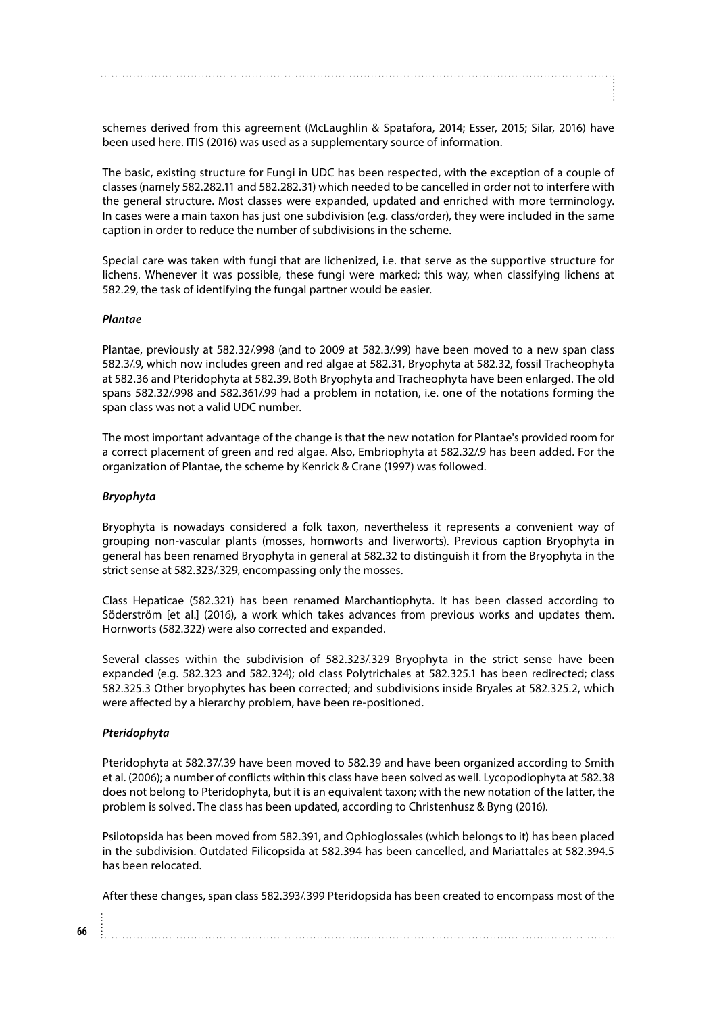schemes derived from this agreement (McLaughlin & Spatafora, 2014; Esser, 2015; Silar, 2016) have been used here. ITIS (2016) was used as a supplementary source of information.

The basic, existing structure for Fungi in UDC has been respected, with the exception of a couple of classes (namely 582.282.11 and 582.282.31) which needed to be cancelled in order not to interfere with the general structure. Most classes were expanded, updated and enriched with more terminology. In cases were a main taxon has just one subdivision (e.g. class/order), they were included in the same caption in order to reduce the number of subdivisions in the scheme.

Special care was taken with fungi that are lichenized, i.e. that serve as the supportive structure for lichens. Whenever it was possible, these fungi were marked; this way, when classifying lichens at 582.29, the task of identifying the fungal partner would be easier.

#### *Plantae*

Plantae, previously at 582.32/.998 (and to 2009 at 582.3/.99) have been moved to a new span class 582.3/.9, which now includes green and red algae at 582.31, Bryophyta at 582.32, fossil Tracheophyta at 582.36 and Pteridophyta at 582.39. Both Bryophyta and Tracheophyta have been enlarged. The old spans 582.32/.998 and 582.361/.99 had a problem in notation, i.e. one of the notations forming the span class was not a valid UDC number.

The most important advantage of the change is that the new notation for Plantae's provided room for a correct placement of green and red algae. Also, Embriophyta at 582.32/.9 has been added. For the organization of Plantae, the scheme by Kenrick & Crane (1997) was followed.

#### *Bryophyta*

Bryophyta is nowadays considered a folk taxon, nevertheless it represents a convenient way of grouping non-vascular plants (mosses, hornworts and liverworts). Previous caption Bryophyta in general has been renamed Bryophyta in general at 582.32 to distinguish it from the Bryophyta in the strict sense at 582.323/.329, encompassing only the mosses.

Class Hepaticae (582.321) has been renamed Marchantiophyta. It has been classed according to Söderström [et al.] (2016), a work which takes advances from previous works and updates them. Hornworts (582.322) were also corrected and expanded.

Several classes within the subdivision of 582.323/.329 Bryophyta in the strict sense have been expanded (e.g. 582.323 and 582.324); old class Polytrichales at 582.325.1 has been redirected; class 582.325.3 Other bryophytes has been corrected; and subdivisions inside Bryales at 582.325.2, which were affected by a hierarchy problem, have been re-positioned.

#### *Pteridophyta*

Pteridophyta at 582.37/.39 have been moved to 582.39 and have been organized according to Smith et al. (2006); a number of conflicts within this class have been solved as well. Lycopodiophyta at 582.38 does not belong to Pteridophyta, but it is an equivalent taxon; with the new notation of the latter, the problem is solved. The class has been updated, according to Christenhusz & Byng (2016).

Psilotopsida has been moved from 582.391, and Ophioglossales (which belongs to it) has been placed in the subdivision. Outdated Filicopsida at 582.394 has been cancelled, and Mariattales at 582.394.5 has been relocated.

After these changes, span class 582.393/.399 Pteridopsida has been created to encompass most of the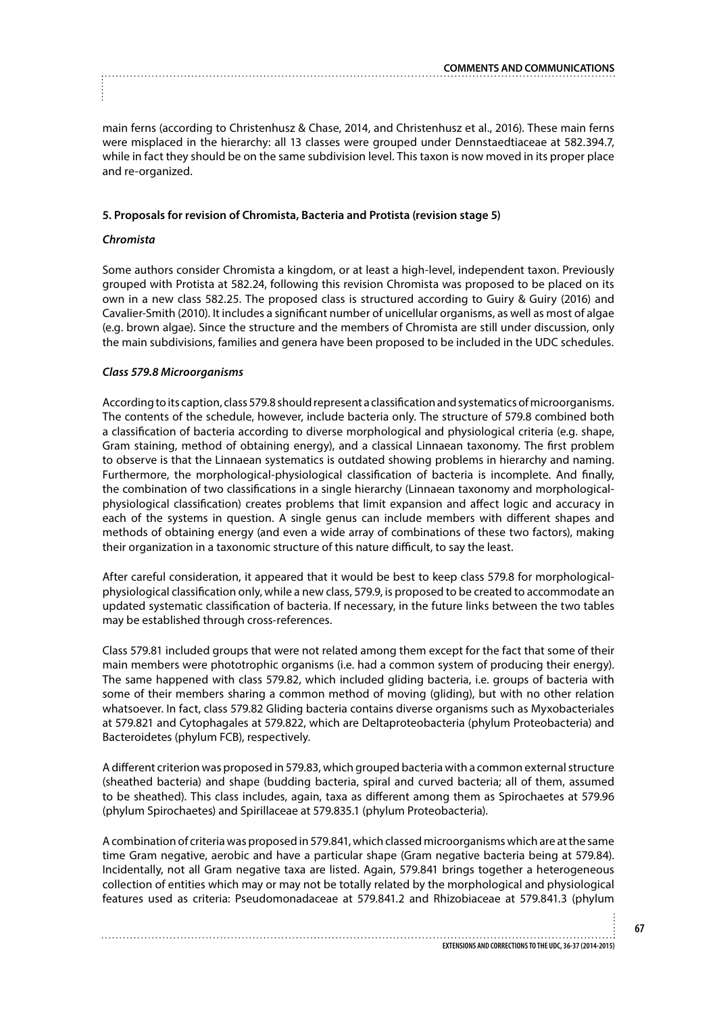main ferns (according to Christenhusz & Chase, 2014, and Christenhusz et al., 2016). These main ferns were misplaced in the hierarchy: all 13 classes were grouped under Dennstaedtiaceae at 582.394.7, while in fact they should be on the same subdivision level. This taxon is now moved in its proper place and re-organized.

# **5. Proposals for revision of Chromista, Bacteria and Protista (revision stage 5)**

# *Chromista*

Some authors consider Chromista a kingdom, or at least a high-level, independent taxon. Previously grouped with Protista at 582.24, following this revision Chromista was proposed to be placed on its own in a new class 582.25. The proposed class is structured according to Guiry & Guiry (2016) and Cavalier-Smith (2010). It includes a significant number of unicellular organisms, as well as most of algae (e.g. brown algae). Since the structure and the members of Chromista are still under discussion, only the main subdivisions, families and genera have been proposed to be included in the UDC schedules.

# *Class 579.8 Microorganisms*

According to its caption, class 579.8 should represent a classification and systematics of microorganisms. The contents of the schedule, however, include bacteria only. The structure of 579.8 combined both a classification of bacteria according to diverse morphological and physiological criteria (e.g. shape, Gram staining, method of obtaining energy), and a classical Linnaean taxonomy. The first problem to observe is that the Linnaean systematics is outdated showing problems in hierarchy and naming. Furthermore, the morphological-physiological classification of bacteria is incomplete. And finally, the combination of two classifications in a single hierarchy (Linnaean taxonomy and morphologicalphysiological classification) creates problems that limit expansion and affect logic and accuracy in each of the systems in question. A single genus can include members with different shapes and methods of obtaining energy (and even a wide array of combinations of these two factors), making their organization in a taxonomic structure of this nature difficult, to say the least.

After careful consideration, it appeared that it would be best to keep class 579.8 for morphologicalphysiological classification only, while a new class, 579.9, is proposed to be created to accommodate an updated systematic classification of bacteria. If necessary, in the future links between the two tables may be established through cross-references.

Class 579.81 included groups that were not related among them except for the fact that some of their main members were phototrophic organisms (i.e. had a common system of producing their energy). The same happened with class 579.82, which included gliding bacteria, i.e. groups of bacteria with some of their members sharing a common method of moving (gliding), but with no other relation whatsoever. In fact, class 579.82 Gliding bacteria contains diverse organisms such as Myxobacteriales at 579.821 and Cytophagales at 579.822, which are Deltaproteobacteria (phylum Proteobacteria) and Bacteroidetes (phylum FCB), respectively.

A different criterion was proposed in 579.83, which grouped bacteria with a common external structure (sheathed bacteria) and shape (budding bacteria, spiral and curved bacteria; all of them, assumed to be sheathed). This class includes, again, taxa as different among them as Spirochaetes at 579.96 (phylum Spirochaetes) and Spirillaceae at 579.835.1 (phylum Proteobacteria).

A combination of criteria was proposed in 579.841, which classed microorganisms which are at the same time Gram negative, aerobic and have a particular shape (Gram negative bacteria being at 579.84). Incidentally, not all Gram negative taxa are listed. Again, 579.841 brings together a heterogeneous collection of entities which may or may not be totally related by the morphological and physiological features used as criteria: Pseudomonadaceae at 579.841.2 and Rhizobiaceae at 579.841.3 (phylum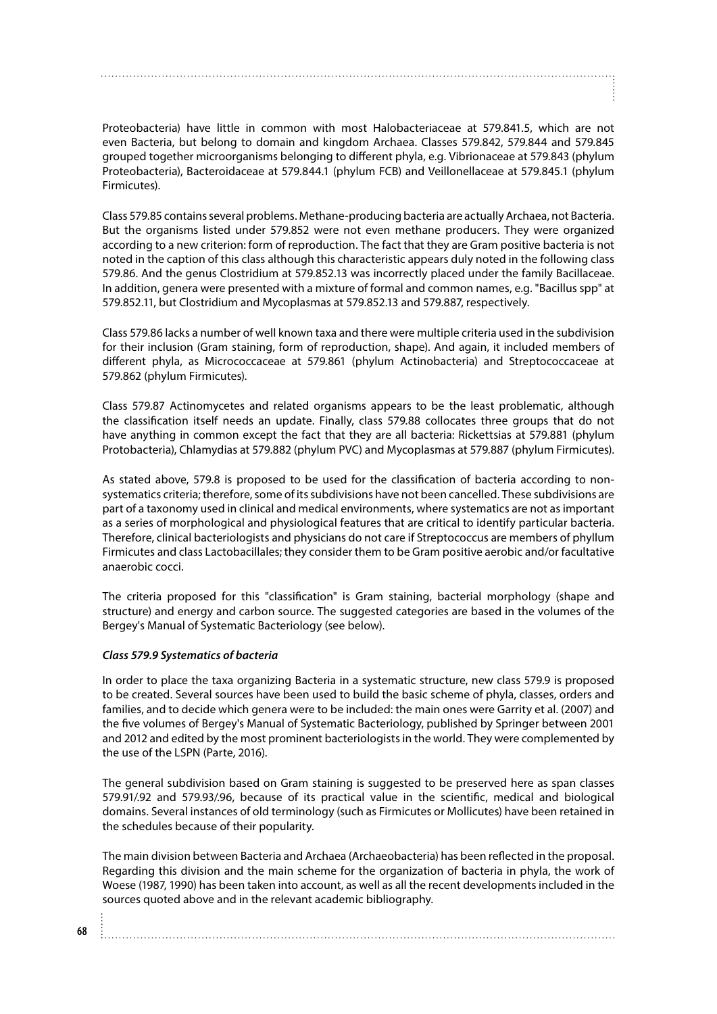Proteobacteria) have little in common with most Halobacteriaceae at 579.841.5, which are not even Bacteria, but belong to domain and kingdom Archaea. Classes 579.842, 579.844 and 579.845 grouped together microorganisms belonging to different phyla, e.g. Vibrionaceae at 579.843 (phylum Proteobacteria), Bacteroidaceae at 579.844.1 (phylum FCB) and Veillonellaceae at 579.845.1 (phylum Firmicutes).

Class 579.85 contains several problems. Methane-producing bacteria are actually Archaea, not Bacteria. But the organisms listed under 579.852 were not even methane producers. They were organized according to a new criterion: form of reproduction. The fact that they are Gram positive bacteria is not noted in the caption of this class although this characteristic appears duly noted in the following class 579.86. And the genus Clostridium at 579.852.13 was incorrectly placed under the family Bacillaceae. In addition, genera were presented with a mixture of formal and common names, e.g. "Bacillus spp" at 579.852.11, but Clostridium and Mycoplasmas at 579.852.13 and 579.887, respectively.

Class 579.86 lacks a number of well known taxa and there were multiple criteria used in the subdivision for their inclusion (Gram staining, form of reproduction, shape). And again, it included members of different phyla, as Micrococcaceae at 579.861 (phylum Actinobacteria) and Streptococcaceae at 579.862 (phylum Firmicutes).

Class 579.87 Actinomycetes and related organisms appears to be the least problematic, although the classification itself needs an update. Finally, class 579.88 collocates three groups that do not have anything in common except the fact that they are all bacteria: Rickettsias at 579.881 (phylum Protobacteria), Chlamydias at 579.882 (phylum PVC) and Mycoplasmas at 579.887 (phylum Firmicutes).

As stated above, 579.8 is proposed to be used for the classification of bacteria according to nonsystematics criteria; therefore, some of its subdivisions have not been cancelled. These subdivisions are part of a taxonomy used in clinical and medical environments, where systematics are not as important as a series of morphological and physiological features that are critical to identify particular bacteria. Therefore, clinical bacteriologists and physicians do not care if Streptococcus are members of phyllum Firmicutes and class Lactobacillales; they consider them to be Gram positive aerobic and/or facultative anaerobic cocci.

The criteria proposed for this "classification" is Gram staining, bacterial morphology (shape and structure) and energy and carbon source. The suggested categories are based in the volumes of the Bergey's Manual of Systematic Bacteriology (see below).

# *Class 579.9 Systematics of bacteria*

In order to place the taxa organizing Bacteria in a systematic structure, new class 579.9 is proposed to be created. Several sources have been used to build the basic scheme of phyla, classes, orders and families, and to decide which genera were to be included: the main ones were Garrity et al. (2007) and the five volumes of Bergey's Manual of Systematic Bacteriology, published by Springer between 2001 and 2012 and edited by the most prominent bacteriologists in the world. They were complemented by the use of the LSPN (Parte, 2016).

The general subdivision based on Gram staining is suggested to be preserved here as span classes 579.91/.92 and 579.93/.96, because of its practical value in the scientific, medical and biological domains. Several instances of old terminology (such as Firmicutes or Mollicutes) have been retained in the schedules because of their popularity.

The main division between Bacteria and Archaea (Archaeobacteria) has been reflected in the proposal. Regarding this division and the main scheme for the organization of bacteria in phyla, the work of Woese (1987, 1990) has been taken into account, as well as all the recent developments included in the sources quoted above and in the relevant academic bibliography.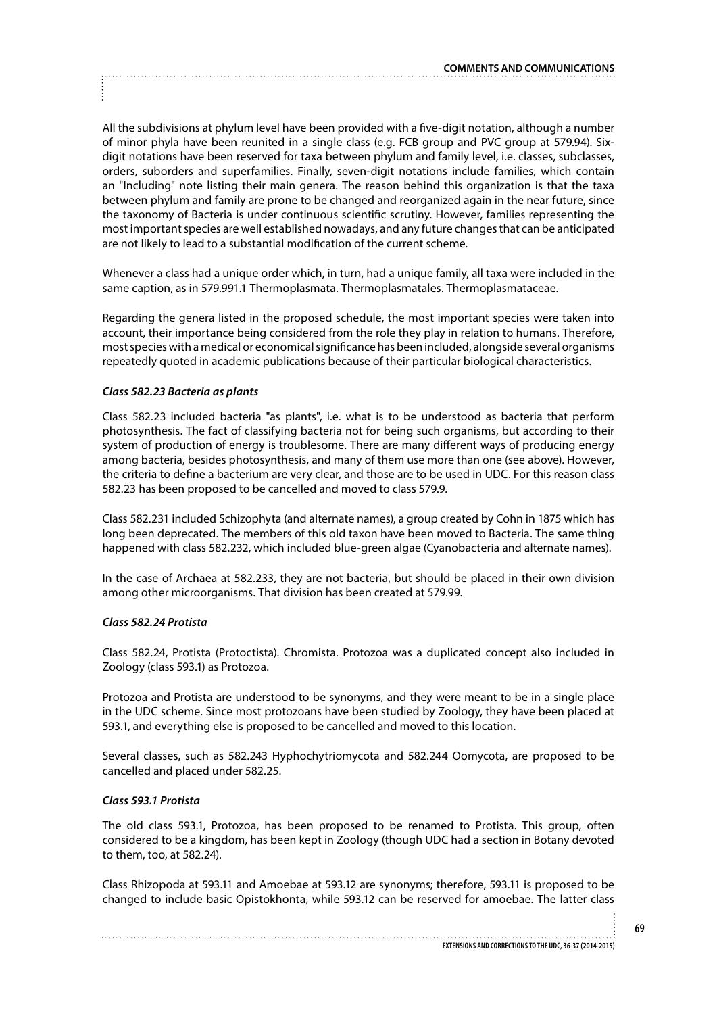All the subdivisions at phylum level have been provided with a five-digit notation, although a number of minor phyla have been reunited in a single class (e.g. FCB group and PVC group at 579.94). Sixdigit notations have been reserved for taxa between phylum and family level, i.e. classes, subclasses, orders, suborders and superfamilies. Finally, seven-digit notations include families, which contain an "Including" note listing their main genera. The reason behind this organization is that the taxa between phylum and family are prone to be changed and reorganized again in the near future, since the taxonomy of Bacteria is under continuous scientific scrutiny. However, families representing the most important species are well established nowadays, and any future changes that can be anticipated are not likely to lead to a substantial modification of the current scheme.

Whenever a class had a unique order which, in turn, had a unique family, all taxa were included in the same caption, as in 579.991.1 Thermoplasmata. Thermoplasmatales. Thermoplasmataceae.

Regarding the genera listed in the proposed schedule, the most important species were taken into account, their importance being considered from the role they play in relation to humans. Therefore, most species with a medical or economical significance has been included, alongside several organisms repeatedly quoted in academic publications because of their particular biological characteristics.

## *Class 582.23 Bacteria as plants*

Class 582.23 included bacteria "as plants", i.e. what is to be understood as bacteria that perform photosynthesis. The fact of classifying bacteria not for being such organisms, but according to their system of production of energy is troublesome. There are many different ways of producing energy among bacteria, besides photosynthesis, and many of them use more than one (see above). However, the criteria to define a bacterium are very clear, and those are to be used in UDC. For this reason class 582.23 has been proposed to be cancelled and moved to class 579.9.

Class 582.231 included Schizophyta (and alternate names), a group created by Cohn in 1875 which has long been deprecated. The members of this old taxon have been moved to Bacteria. The same thing happened with class 582.232, which included blue-green algae (Cyanobacteria and alternate names).

In the case of Archaea at 582.233, they are not bacteria, but should be placed in their own division among other microorganisms. That division has been created at 579.99.

#### *Class 582.24 Protista*

Class 582.24, Protista (Protoctista). Chromista. Protozoa was a duplicated concept also included in Zoology (class 593.1) as Protozoa.

Protozoa and Protista are understood to be synonyms, and they were meant to be in a single place in the UDC scheme. Since most protozoans have been studied by Zoology, they have been placed at 593.1, and everything else is proposed to be cancelled and moved to this location.

Several classes, such as 582.243 Hyphochytriomycota and 582.244 Oomycota, are proposed to be cancelled and placed under 582.25.

## *Class 593.1 Protista*

The old class 593.1, Protozoa, has been proposed to be renamed to Protista. This group, often considered to be a kingdom, has been kept in Zoology (though UDC had a section in Botany devoted to them, too, at 582.24).

Class Rhizopoda at 593.11 and Amoebae at 593.12 are synonyms; therefore, 593.11 is proposed to be changed to include basic Opistokhonta, while 593.12 can be reserved for amoebae. The latter class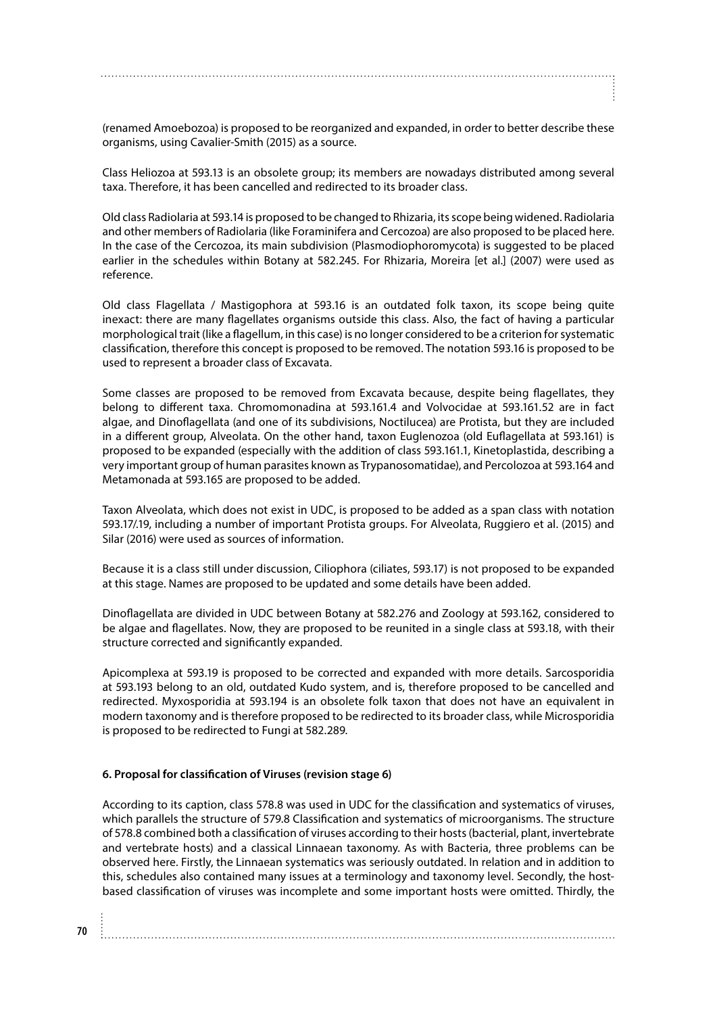(renamed Amoebozoa) is proposed to be reorganized and expanded, in order to better describe these organisms, using Cavalier-Smith (2015) as a source.

Class Heliozoa at 593.13 is an obsolete group; its members are nowadays distributed among several taxa. Therefore, it has been cancelled and redirected to its broader class.

Old class Radiolaria at 593.14 is proposed to be changed to Rhizaria, its scope being widened. Radiolaria and other members of Radiolaria (like Foraminifera and Cercozoa) are also proposed to be placed here. In the case of the Cercozoa, its main subdivision (Plasmodiophoromycota) is suggested to be placed earlier in the schedules within Botany at 582.245. For Rhizaria, Moreira [et al.] (2007) were used as reference.

Old class Flagellata / Mastigophora at 593.16 is an outdated folk taxon, its scope being quite inexact: there are many flagellates organisms outside this class. Also, the fact of having a particular morphological trait (like a flagellum, in this case) is no longer considered to be a criterion for systematic classification, therefore this concept is proposed to be removed. The notation 593.16 is proposed to be used to represent a broader class of Excavata.

Some classes are proposed to be removed from Excavata because, despite being flagellates, they belong to different taxa. Chromomonadina at 593.161.4 and Volvocidae at 593.161.52 are in fact algae, and Dinoflagellata (and one of its subdivisions, Noctilucea) are Protista, but they are included in a different group, Alveolata. On the other hand, taxon Euglenozoa (old Euflagellata at 593.161) is proposed to be expanded (especially with the addition of class 593.161.1, Kinetoplastida, describing a very important group of human parasites known as Trypanosomatidae), and Percolozoa at 593.164 and Metamonada at 593.165 are proposed to be added.

Taxon Alveolata, which does not exist in UDC, is proposed to be added as a span class with notation 593.17/.19, including a number of important Protista groups. For Alveolata, Ruggiero et al. (2015) and Silar (2016) were used as sources of information.

Because it is a class still under discussion, Ciliophora (ciliates, 593.17) is not proposed to be expanded at this stage. Names are proposed to be updated and some details have been added.

Dinoflagellata are divided in UDC between Botany at 582.276 and Zoology at 593.162, considered to be algae and flagellates. Now, they are proposed to be reunited in a single class at 593.18, with their structure corrected and significantly expanded.

Apicomplexa at 593.19 is proposed to be corrected and expanded with more details. Sarcosporidia at 593.193 belong to an old, outdated Kudo system, and is, therefore proposed to be cancelled and redirected. Myxosporidia at 593.194 is an obsolete folk taxon that does not have an equivalent in modern taxonomy and is therefore proposed to be redirected to its broader class, while Microsporidia is proposed to be redirected to Fungi at 582.289.

## **6. Proposal for classification of Viruses (revision stage 6)**

According to its caption, class 578.8 was used in UDC for the classification and systematics of viruses, which parallels the structure of 579.8 Classification and systematics of microorganisms. The structure of 578.8 combined both a classification of viruses according to their hosts (bacterial, plant, invertebrate and vertebrate hosts) and a classical Linnaean taxonomy. As with Bacteria, three problems can be observed here. Firstly, the Linnaean systematics was seriously outdated. In relation and in addition to this, schedules also contained many issues at a terminology and taxonomy level. Secondly, the hostbased classification of viruses was incomplete and some important hosts were omitted. Thirdly, the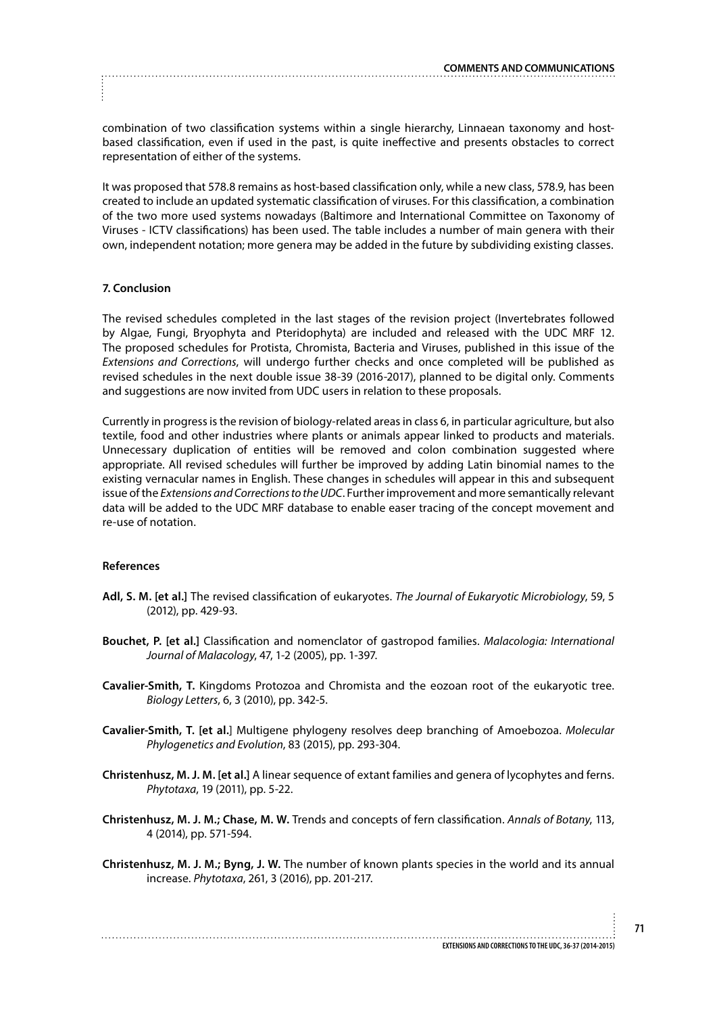combination of two classification systems within a single hierarchy, Linnaean taxonomy and hostbased classification, even if used in the past, is quite ineffective and presents obstacles to correct representation of either of the systems.

It was proposed that 578.8 remains as host-based classification only, while a new class, 578.9, has been created to include an updated systematic classification of viruses. For this classification, a combination of the two more used systems nowadays (Baltimore and International Committee on Taxonomy of Viruses - ICTV classifications) has been used. The table includes a number of main genera with their own, independent notation; more genera may be added in the future by subdividing existing classes.

## **7. Conclusion**

The revised schedules completed in the last stages of the revision project (Invertebrates followed by Algae, Fungi, Bryophyta and Pteridophyta) are included and released with the UDC MRF 12. The proposed schedules for Protista, Chromista, Bacteria and Viruses, published in this issue of the *Extensions and Corrections*, will undergo further checks and once completed will be published as revised schedules in the next double issue 38-39 (2016-2017), planned to be digital only. Comments and suggestions are now invited from UDC users in relation to these proposals.

Currently in progress is the revision of biology-related areas in class 6, in particular agriculture, but also textile, food and other industries where plants or animals appear linked to products and materials. Unnecessary duplication of entities will be removed and colon combination suggested where appropriate. All revised schedules will further be improved by adding Latin binomial names to the existing vernacular names in English. These changes in schedules will appear in this and subsequent issue of the *Extensions and Corrections to the UDC*. Further improvement and more semantically relevant data will be added to the UDC MRF database to enable easer tracing of the concept movement and re-use of notation.

#### **References**

- **Adl, S. M. [et al.]** The revised classification of eukaryotes. *The Journal of Eukaryotic Microbiology*, 59, 5 (2012), pp. 429-93.
- **Bouchet, P. [et al.]** Classification and nomenclator of gastropod families. *Malacologia: International Journal of Malacology*, 47, 1-2 (2005), pp. 1-397.
- **Cavalier-Smith, T.** Kingdoms Protozoa and Chromista and the eozoan root of the eukaryotic tree. *Biology Letters*, 6, 3 (2010), pp. 342-5.
- **Cavalier-Smith, T. [et al.**] Multigene phylogeny resolves deep branching of Amoebozoa. *Molecular Phylogenetics and Evolution*, 83 (2015), pp. 293-304.
- **Christenhusz, M. J. M. [et al.]** A linear sequence of extant families and genera of lycophytes and ferns. *Phytotaxa*, 19 (2011), pp. 5-22.
- **Christenhusz, M. J. M.; Chase, M. W.** Trends and concepts of fern classification. *Annals of Botany*, 113, 4 (2014), pp. 571-594.
- **Christenhusz, M. J. M.; Byng, J. W.** The number of known plants species in the world and its annual increase. *Phytotaxa*, 261, 3 (2016), pp. 201-217.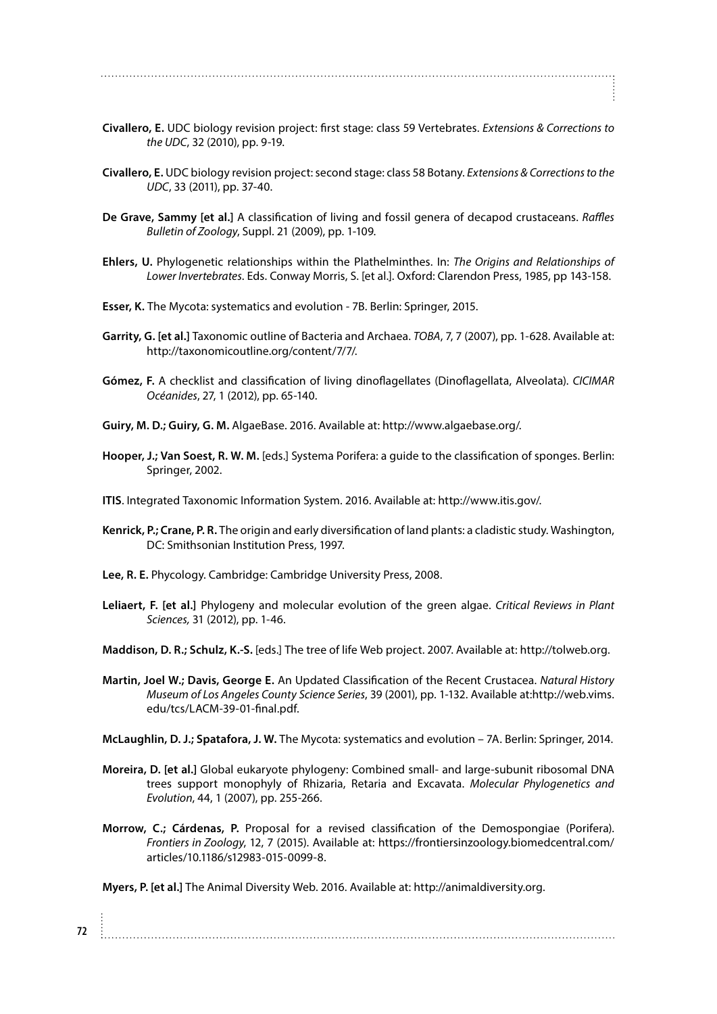- **Civallero, E.** UDC biology revision project: first stage: class 59 Vertebrates. *Extensions & Corrections to the UDC*, 32 (2010), pp. 9-19.
- **Civallero, E.** UDC biology revision project: second stage: class 58 Botany. *Extensions & Corrections to the UDC*, 33 (2011), pp. 37-40.
- **De Grave, Sammy [et al.]** A classification of living and fossil genera of decapod crustaceans. *Raffles Bulletin of Zoology*, Suppl. 21 (2009), pp. 1-109.
- **Ehlers, U.** Phylogenetic relationships within the Plathelminthes. In: *The Origins and Relationships of Lower Invertebrates*. Eds. Conway Morris, S. [et al.]. Oxford: Clarendon Press, 1985, pp 143-158.
- **Esser, K.** The Mycota: systematics and evolution 7B. Berlin: Springer, 2015.
- **Garrity, G. [et al.]** Taxonomic outline of Bacteria and Archaea. *TOBA*, 7, 7 (2007), pp. 1-628. Available at: http://taxonomicoutline.org/content/7/7/.
- **Gómez, F.** A checklist and classification of living dinoflagellates (Dinoflagellata, Alveolata). *CICIMAR Océanides*, 27, 1 (2012), pp. 65-140.
- **Guiry, M. D.; Guiry, G. M.** AlgaeBase. 2016. Available at: http://www.algaebase.org/.
- **Hooper, J.; Van Soest, R. W. M.** [eds.] Systema Porifera: a guide to the classification of sponges. Berlin: Springer, 2002.
- **ITIS**. Integrated Taxonomic Information System. 2016. Available at: http://www.itis.gov/.
- **Kenrick, P.; Crane, P. R.** The origin and early diversification of land plants: a cladistic study. Washington, DC: Smithsonian Institution Press, 1997.
- **Lee, R. E.** Phycology. Cambridge: Cambridge University Press, 2008.
- **Leliaert, F. [et al.]** Phylogeny and molecular evolution of the green algae. *Critical Reviews in Plant Sciences,* 31 (2012), pp. 1-46.

**Maddison, D. R.; Schulz, K.-S.** [eds.] The tree of life Web project. 2007. Available at: http://tolweb.org.

**Martin, Joel W.; Davis, George E.** An Updated Classification of the Recent Crustacea. *Natural History Museum of Los Angeles County Science Series*, 39 (2001), pp. 1-132. Available at:http://web.vims. edu/tcs/LACM-39-01-final.pdf.

**McLaughlin, D. J.; Spatafora, J. W.** The Mycota: systematics and evolution – 7A. Berlin: Springer, 2014.

- **Moreira, D. [et al.]** Global eukaryote phylogeny: Combined small- and large-subunit ribosomal DNA trees support monophyly of Rhizaria, Retaria and Excavata. *Molecular Phylogenetics and Evolution*, 44, 1 (2007), pp. 255-266.
- **Morrow, C.; Cárdenas, P.** Proposal for a revised classification of the Demospongiae (Porifera). *Frontiers in Zoology*, 12, 7 (2015). Available at: https://frontiersinzoology.biomedcentral.com/ articles/10.1186/s12983-015-0099-8.

**Myers, P. [et al.]** The Animal Diversity Web. 2016. Available at: http://animaldiversity.org.